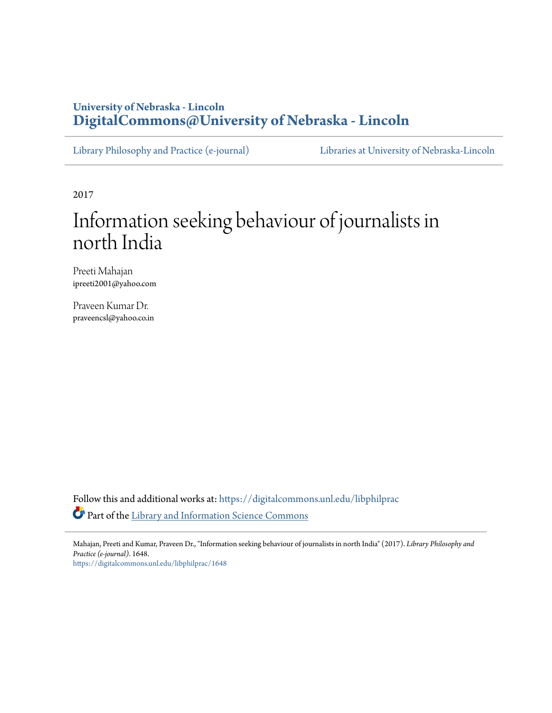# **University of Nebraska - Lincoln [DigitalCommons@University of Nebraska - Lincoln](https://digitalcommons.unl.edu?utm_source=digitalcommons.unl.edu%2Flibphilprac%2F1648&utm_medium=PDF&utm_campaign=PDFCoverPages)**

[Library Philosophy and Practice \(e-journal\)](https://digitalcommons.unl.edu/libphilprac?utm_source=digitalcommons.unl.edu%2Flibphilprac%2F1648&utm_medium=PDF&utm_campaign=PDFCoverPages) [Libraries at University of Nebraska-Lincoln](https://digitalcommons.unl.edu/libraries?utm_source=digitalcommons.unl.edu%2Flibphilprac%2F1648&utm_medium=PDF&utm_campaign=PDFCoverPages)

2017

# Information seeking behaviour of journalists in north India

Preeti Mahajan ipreeti2001@yahoo.com

Praveen Kumar Dr. praveencsl@yahoo.co.in

Follow this and additional works at: [https://digitalcommons.unl.edu/libphilprac](https://digitalcommons.unl.edu/libphilprac?utm_source=digitalcommons.unl.edu%2Flibphilprac%2F1648&utm_medium=PDF&utm_campaign=PDFCoverPages) Part of the [Library and Information Science Commons](http://network.bepress.com/hgg/discipline/1018?utm_source=digitalcommons.unl.edu%2Flibphilprac%2F1648&utm_medium=PDF&utm_campaign=PDFCoverPages)

Mahajan, Preeti and Kumar, Praveen Dr., "Information seeking behaviour of journalists in north India" (2017). *Library Philosophy and Practice (e-journal)*. 1648. [https://digitalcommons.unl.edu/libphilprac/1648](https://digitalcommons.unl.edu/libphilprac/1648?utm_source=digitalcommons.unl.edu%2Flibphilprac%2F1648&utm_medium=PDF&utm_campaign=PDFCoverPages)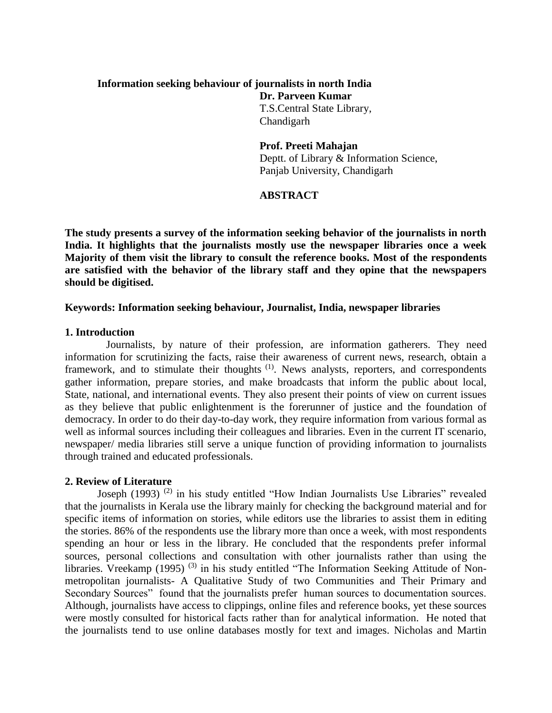# **Information seeking behaviour of journalists in north India**

**Dr. Parveen Kumar** T.S.Central State Library, Chandigarh

**Prof. Preeti Mahajan** Deptt. of Library & Information Science, Panjab University, Chandigarh

# **ABSTRACT**

**The study presents a survey of the information seeking behavior of the journalists in north India. It highlights that the journalists mostly use the newspaper libraries once a week Majority of them visit the library to consult the reference books. Most of the respondents are satisfied with the behavior of the library staff and they opine that the newspapers should be digitised.**

#### **Keywords: Information seeking behaviour, Journalist, India, newspaper libraries**

#### **1. Introduction**

Journalists, by nature of their profession, are information gatherers. They need information for scrutinizing the facts, raise their awareness of current news, research, obtain a framework, and to stimulate their thoughts <sup>(1)</sup>. News analysts, reporters, and correspondents gather information, prepare stories, and make broadcasts that inform the public about local, State, national, and international events. They also present their points of view on current issues as they believe that public enlightenment is the forerunner of justice and the foundation of democracy. In order to do their day-to-day work, they require information from various formal as well as informal sources including their colleagues and libraries. Even in the current IT scenario, newspaper/ media libraries still serve a unique function of providing information to journalists through trained and educated professionals.

#### **2. Review of Literature**

Joseph (1993) (2) in his study entitled "How Indian Journalists Use Libraries" revealed that the journalists in Kerala use the library mainly for checking the background material and for specific items of information on stories, while editors use the libraries to assist them in editing the stories. 86% of the respondents use the library more than once a week, with most respondents spending an hour or less in the library. He concluded that the respondents prefer informal sources, personal collections and consultation with other journalists rather than using the libraries. Vreekamp (1995)<sup>(3)</sup> in his study entitled "The Information Seeking Attitude of Nonmetropolitan journalists- A Qualitative Study of two Communities and Their Primary and Secondary Sources" found that the journalists prefer human sources to documentation sources. Although, journalists have access to clippings, online files and reference books, yet these sources were mostly consulted for historical facts rather than for analytical information. He noted that the journalists tend to use online databases mostly for text and images. Nicholas and Martin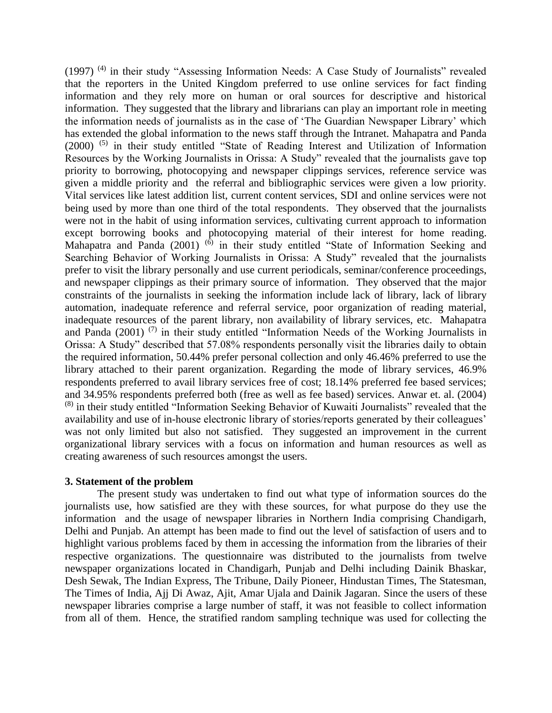(1997) (4) in their study "Assessing Information Needs: A Case Study of Journalists" revealed that the reporters in the United Kingdom preferred to use online services for fact finding information and they rely more on human or oral sources for descriptive and historical information. They suggested that the library and librarians can play an important role in meeting the information needs of journalists as in the case of 'The Guardian Newspaper Library' which has extended the global information to the news staff through the Intranet. Mahapatra and Panda (2000) (5) in their study entitled "State of Reading Interest and Utilization of Information Resources by the Working Journalists in Orissa: A Study" revealed that the journalists gave top priority to borrowing, photocopying and newspaper clippings services, reference service was given a middle priority and the referral and bibliographic services were given a low priority. Vital services like latest addition list, current content services, SDI and online services were not being used by more than one third of the total respondents. They observed that the journalists were not in the habit of using information services, cultivating current approach to information except borrowing books and photocopying material of their interest for home reading. Mahapatra and Panda (2001)  $^{(6)}$  in their study entitled "State of Information Seeking and Searching Behavior of Working Journalists in Orissa: A Study" revealed that the journalists prefer to visit the library personally and use current periodicals, seminar/conference proceedings, and newspaper clippings as their primary source of information. They observed that the major constraints of the journalists in seeking the information include lack of library, lack of library automation, inadequate reference and referral service, poor organization of reading material, inadequate resources of the parent library, non availability of library services, etc. Mahapatra and Panda (2001)<sup>(7)</sup> in their study entitled "Information Needs of the Working Journalists in Orissa: A Study" described that 57.08% respondents personally visit the libraries daily to obtain the required information, 50.44% prefer personal collection and only 46.46% preferred to use the library attached to their parent organization. Regarding the mode of library services, 46.9% respondents preferred to avail library services free of cost; 18.14% preferred fee based services; and 34.95% respondents preferred both (free as well as fee based) services. Anwar et. al. (2004) (8) in their study entitled "Information Seeking Behavior of Kuwaiti Journalists" revealed that the availability and use of in-house electronic library of stories/reports generated by their colleagues' was not only limited but also not satisfied. They suggested an improvement in the current organizational library services with a focus on information and human resources as well as creating awareness of such resources amongst the users.

#### **3. Statement of the problem**

 The present study was undertaken to find out what type of information sources do the journalists use, how satisfied are they with these sources, for what purpose do they use the information and the usage of newspaper libraries in Northern India comprising Chandigarh, Delhi and Punjab. An attempt has been made to find out the level of satisfaction of users and to highlight various problems faced by them in accessing the information from the libraries of their respective organizations. The questionnaire was distributed to the journalists from twelve newspaper organizations located in Chandigarh, Punjab and Delhi including Dainik Bhaskar, Desh Sewak, The Indian Express, The Tribune, Daily Pioneer, Hindustan Times, The Statesman, The Times of India, Ajj Di Awaz, Ajit, Amar Ujala and Dainik Jagaran. Since the users of these newspaper libraries comprise a large number of staff, it was not feasible to collect information from all of them. Hence, the stratified random sampling technique was used for collecting the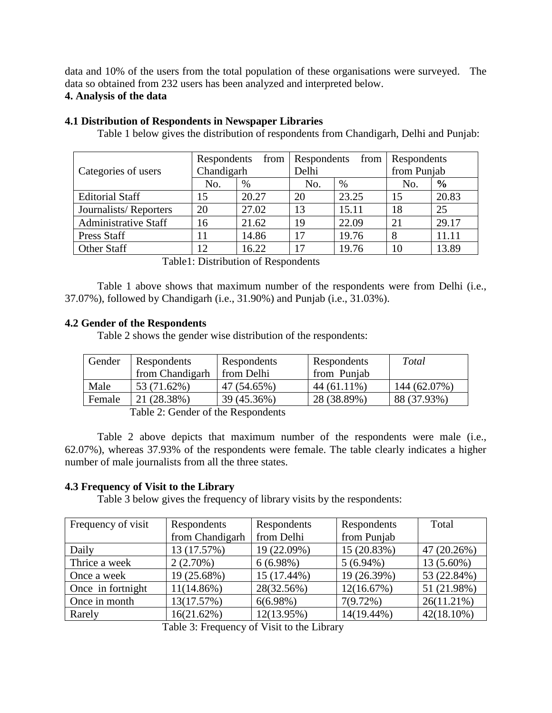data and 10% of the users from the total population of these organisations were surveyed. The data so obtained from 232 users has been analyzed and interpreted below.

# **4. Analysis of the data**

| Categories of users         | Respondents<br>Chandigarh |       | from   Respondents<br>from<br>Delhi |       | <b>Respondents</b><br>from Punjab |               |
|-----------------------------|---------------------------|-------|-------------------------------------|-------|-----------------------------------|---------------|
|                             | No.                       | %     | No.                                 | %     | No.                               | $\frac{6}{9}$ |
| <b>Editorial Staff</b>      | 15                        | 20.27 | 20                                  | 23.25 | 15                                | 20.83         |
| Journalists/Reporters       | 20                        | 27.02 | 13                                  | 15.11 | 18                                | 25            |
| <b>Administrative Staff</b> | 16                        | 21.62 | 19                                  | 22.09 | 21                                | 29.17         |
| Press Staff                 | 11                        | 14.86 | 17                                  | 19.76 | 8                                 | 11.11         |
| Other Staff                 | 12                        | 16.22 | 17                                  | 19.76 | 10                                | 13.89         |

#### **4.1 Distribution of Respondents in Newspaper Libraries**

Table 1 below gives the distribution of respondents from Chandigarh, Delhi and Punjab:

Table1: Distribution of Respondents

Table 1 above shows that maximum number of the respondents were from Delhi (i.e., 37.07%), followed by Chandigarh (i.e., 31.90%) and Punjab (i.e., 31.03%).

# **4.2 Gender of the Respondents**

Table 2 shows the gender wise distribution of the respondents:

| Gender | Respondents     | Respondents | Respondents | Total        |
|--------|-----------------|-------------|-------------|--------------|
|        | from Chandigarh | from Delhi  | from Punjab |              |
| Male   | 53 (71.62%)     | 47 (54.65%) | 44 (61.11%) | 144 (62.07%) |
| Female | 21 (28.38%)     | 39 (45.36%) | 28 (38.89%) | 88 (37.93%)  |

Table 2: Gender of the Respondents

Table 2 above depicts that maximum number of the respondents were male (i.e., 62.07%), whereas 37.93% of the respondents were female. The table clearly indicates a higher number of male journalists from all the three states.

#### **4.3 Frequency of Visit to the Library**

Table 3 below gives the frequency of library visits by the respondents:

| Frequency of visit | Respondents     | Respondents | Respondents | Total         |
|--------------------|-----------------|-------------|-------------|---------------|
|                    | from Chandigarh | from Delhi  | from Punjab |               |
| Daily              | 13 (17.57%)     | 19 (22.09%) | 15 (20.83%) | 47 (20.26%)   |
| Thrice a week      | 2(2.70%)        | 6(6.98%)    | $5(6.94\%)$ | 13 (5.60%)    |
| Once a week        | 19 (25.68%)     | 15 (17.44%) | 19 (26.39%) | 53 (22.84%)   |
| Once in fortnight  | $11(14.86\%)$   | 28(32.56%)  | 12(16.67%)  | 51 (21.98%)   |
| Once in month      | 13(17.57%)      | $6(6.98\%)$ | 7(9.72%)    | $26(11.21\%)$ |
| Rarely             | 16(21.62%)      | 12(13.95%)  | 14(19.44%)  | $42(18.10\%)$ |

Table 3: Frequency of Visit to the Library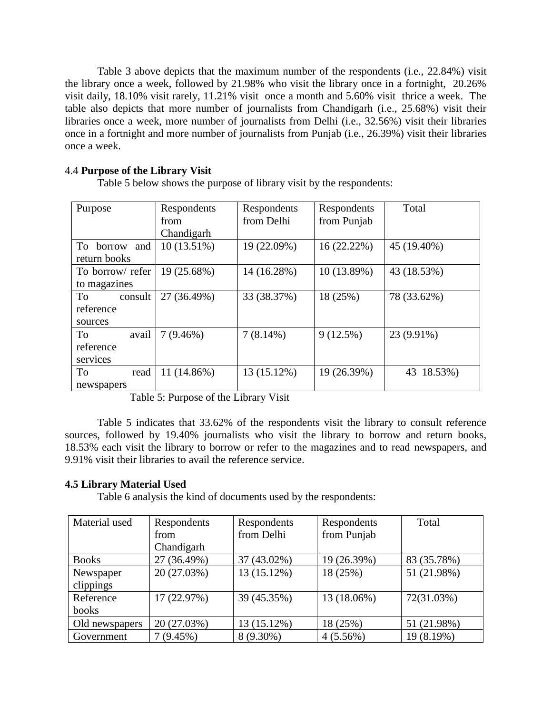Table 3 above depicts that the maximum number of the respondents (i.e., 22.84%) visit the library once a week, followed by 21.98% who visit the library once in a fortnight, 20.26% visit daily, 18.10% visit rarely, 11.21% visit once a month and 5.60% visit thrice a week. The table also depicts that more number of journalists from Chandigarh (i.e., 25.68%) visit their libraries once a week, more number of journalists from Delhi (i.e., 32.56%) visit their libraries once in a fortnight and more number of journalists from Punjab (i.e., 26.39%) visit their libraries once a week.

# 4.4 **Purpose of the Library Visit**

Table 5 below shows the purpose of library visit by the respondents:

| Purpose          | Respondents   | Respondents | Respondents | Total       |
|------------------|---------------|-------------|-------------|-------------|
|                  | from          | from Delhi  | from Punjab |             |
|                  | Chandigarh    |             |             |             |
| To borrow<br>and | $10(13.51\%)$ | 19 (22.09%) | 16(22.22%)  | 45 (19.40%) |
| return books     |               |             |             |             |
| To borrow/refer  | 19 (25.68%)   | 14 (16.28%) | 10(13.89%)  | 43 (18.53%) |
| to magazines     |               |             |             |             |
| consult<br>To    | 27 (36.49%)   | 33 (38.37%) | 18 (25%)    | 78 (33.62%) |
| reference        |               |             |             |             |
| sources          |               |             |             |             |
| avail<br>To      | $7(9.46\%)$   | $7(8.14\%)$ | 9(12.5%)    | 23 (9.91%)  |
| reference        |               |             |             |             |
| services         |               |             |             |             |
| To<br>read       | 11 (14.86%)   | 13 (15.12%) | 19 (26.39%) | 43 18.53%)  |
| newspapers       |               |             |             |             |

Table 5: Purpose of the Library Visit

Table 5 indicates that 33.62% of the respondents visit the library to consult reference sources, followed by 19.40% journalists who visit the library to borrow and return books, 18.53% each visit the library to borrow or refer to the magazines and to read newspapers, and 9.91% visit their libraries to avail the reference service.

#### **4.5 Library Material Used**

Table 6 analysis the kind of documents used by the respondents:

| Material used  | Respondents | Respondents | Respondents | Total       |
|----------------|-------------|-------------|-------------|-------------|
|                | from        | from Delhi  | from Punjab |             |
|                | Chandigarh  |             |             |             |
| <b>Books</b>   | 27 (36.49%) | 37 (43.02%) | 19 (26.39%) | 83 (35.78%) |
| Newspaper      | 20 (27.03%) | 13 (15.12%) | 18 (25%)    | 51 (21.98%) |
| clippings      |             |             |             |             |
| Reference      | 17 (22.97%) | 39 (45.35%) | 13 (18.06%) | 72(31.03%)  |
| books          |             |             |             |             |
| Old newspapers | 20 (27.03%) | 13 (15.12%) | 18 (25%)    | 51 (21.98%) |
| Government     | 7(9.45%)    | 8 (9.30%)   | $4(5.56\%)$ | 19 (8.19%)  |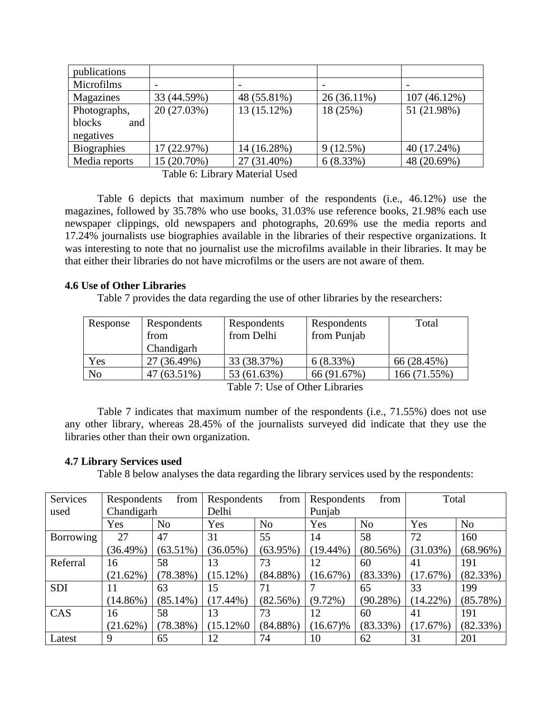| publications                |             |             |               |              |
|-----------------------------|-------------|-------------|---------------|--------------|
| Microfilms                  |             |             |               |              |
| Magazines                   | 33 (44.59%) | 48 (55.81%) | $26(36.11\%)$ | 107 (46.12%) |
| 20 (27.03%)<br>Photographs, |             | 13 (15.12%) | 18 (25%)      | 51 (21.98%)  |
| blocks<br>and               |             |             |               |              |
| negatives                   |             |             |               |              |
| <b>Biographies</b>          | 17 (22.97%) | 14 (16.28%) | 9(12.5%)      | 40 (17.24%)  |
| Media reports               | 15 (20.70%) | 27 (31.40%) | 6(8.33%)      | 48 (20.69%)  |

Table 6: Library Material Used

Table 6 depicts that maximum number of the respondents (i.e., 46.12%) use the magazines, followed by 35.78% who use books, 31.03% use reference books, 21.98% each use newspaper clippings, old newspapers and photographs, 20.69% use the media reports and 17.24% journalists use biographies available in the libraries of their respective organizations. It was interesting to note that no journalist use the microfilms available in their libraries. It may be that either their libraries do not have microfilms or the users are not aware of them.

# **4.6 Use of Other Libraries**

Table 7 provides the data regarding the use of other libraries by the researchers:

| Response | Respondents<br>from<br>Chandigarh | Respondents<br>from Delhi | Respondents<br>from Punjab | Total        |
|----------|-----------------------------------|---------------------------|----------------------------|--------------|
| Yes      | 27 (36.49%)                       | 33 (38.37%)               | 6(8.33%)                   | 66 (28.45%)  |
| No       | 47 (63.51%)                       | 53 (61.63%)               | 66 (91.67%)                | 166 (71.55%) |

Table 7: Use of Other Libraries

Table 7 indicates that maximum number of the respondents (i.e., 71.55%) does not use any other library, whereas 28.45% of the journalists surveyed did indicate that they use the libraries other than their own organization.

#### **4.7 Library Services used**

Table 8 below analyses the data regarding the library services used by the respondents:

| Services   | Respondents<br>from |                | from<br>Respondents |                | Respondents<br>from |                | Total       |                |
|------------|---------------------|----------------|---------------------|----------------|---------------------|----------------|-------------|----------------|
| used       | Chandigarh          |                | Delhi               |                | Punjab              |                |             |                |
|            | Yes                 | N <sub>o</sub> | Yes                 | N <sub>o</sub> | Yes                 | N <sub>o</sub> | Yes         | N <sub>o</sub> |
| Borrowing  | 27                  | 47             | 31                  | 55             | 14                  | 58             | 72          | 160            |
|            | (36.49%)            | $(63.51\%)$    | $(36.05\%)$         | $(63.95\%)$    | $(19.44\%)$         | (80.56%)       | $(31.03\%)$ | $(68.96\%)$    |
| Referral   | 16                  | 58             | 13                  | 73             | 12                  | 60             | 41          | 191            |
|            | (21.62%)            | (78.38%)       | $(15.12\%)$         | $(84.88\%)$    | (16.67%)            | $(83.33\%)$    | (17.67%)    | (82.33%)       |
| <b>SDI</b> | 11                  | 63             | 15                  | 71             |                     | 65             | 33          | 199            |
|            | $(14.86\%)$         | $(85.14\%)$    | $(17.44\%)$         | $(82.56\%)$    | $(9.72\%)$          | (90.28%)       | $(14.22\%)$ | (85.78%)       |
| CAS        | 16                  | 58             | 13                  | 73             | 12                  | 60             | 41          | 191            |
|            | (21.62%)            | (78.38%)       | $(15.12\%0)$        | $(84.88\%)$    | $(16.67)\%$         | $(83.33\%)$    | (17.67%)    | (82.33%)       |
| Latest     | 9                   | 65             | 12                  | 74             | 10                  | 62             | 31          | 201            |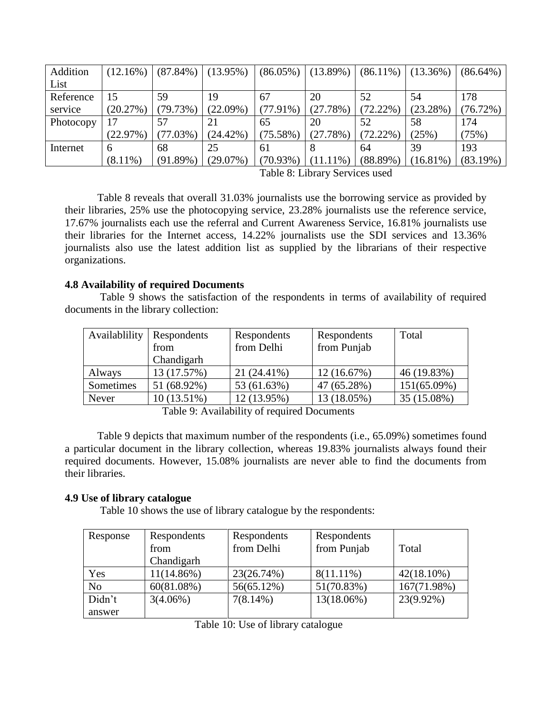| Addition  | (12.16%)    | $(87.84\%)$ | $(13.95\%)$ | $(86.05\%)$ | $(13.89\%)$ | $(86.11\%)$ | $(13.36\%)$ | $(86.64\%)$ |
|-----------|-------------|-------------|-------------|-------------|-------------|-------------|-------------|-------------|
| List      |             |             |             |             |             |             |             |             |
| Reference | 15          | 59          | 19          | 67          | 20          | 52          | 54          | 178         |
| service   | $(20.27\%)$ | (79.73%)    | (22.09%)    | $(77.91\%)$ | (27.78%)    | $(72.22\%)$ | $(23.28\%)$ | (76.72%)    |
| Photocopy |             |             | 21          | 65          | 20          | 52          | 58          | 174         |
|           | $(22.97\%)$ | (77.03%)    | $(24.42\%)$ | $(75.58\%)$ | (27.78%)    | $(72.22\%)$ | (25%)       | (75%)       |
| Internet  | 6           | 68          | 25          | 61          |             | 64          | 39          | 193         |
|           | $(8.11\%)$  | $(91.89\%)$ | $(29.07\%)$ | $(70.93\%)$ | $(11.11\%)$ | $(88.89\%)$ | $(16.81\%)$ | (83.19%)    |

Table 8: Library Services used

Table 8 reveals that overall 31.03% journalists use the borrowing service as provided by their libraries, 25% use the photocopying service, 23.28% journalists use the reference service, 17.67% journalists each use the referral and Current Awareness Service, 16.81% journalists use their libraries for the Internet access, 14.22% journalists use the SDI services and 13.36% journalists also use the latest addition list as supplied by the librarians of their respective organizations.

# **4.8 Availability of required Documents**

Table 9 shows the satisfaction of the respondents in terms of availability of required documents in the library collection:

| Availablility | Respondents<br>from<br>Chandigarh | Respondents<br>from Delhi | Respondents<br>from Punjab | Total          |
|---------------|-----------------------------------|---------------------------|----------------------------|----------------|
|               | 13 (17.57%)                       | 21 (24.41%)               |                            | 46 (19.83%)    |
| Always        |                                   |                           | 12(16.67%)                 |                |
| Sometimes     | 51 (68.92%)                       | 53 (61.63%)               | 47 (65.28%)                | $151(65.09\%)$ |
| Never         | 10 (13.51%)                       | 12 (13.95%)               | 13 (18.05%)                | 35 (15.08%)    |

Table 9: Availability of required Documents

Table 9 depicts that maximum number of the respondents (i.e., 65.09%) sometimes found a particular document in the library collection, whereas 19.83% journalists always found their required documents. However, 15.08% journalists are never able to find the documents from their libraries.

# **4.9 Use of library catalogue**

Table 10 shows the use of library catalogue by the respondents:

| Response       | Respondents<br>from<br>Chandigarh | Respondents<br>from Delhi | Respondents<br>from Punjab | Total         |
|----------------|-----------------------------------|---------------------------|----------------------------|---------------|
| Yes            | $11(14.86\%)$                     | 23(26.74%)                | $8(11.11\%)$               | $42(18.10\%)$ |
| N <sub>o</sub> | $60(81.08\%)$                     | 56(65.12%)                | 51(70.83%)                 | 167(71.98%)   |
| Didn't         | $3(4.06\%)$                       | $7(8.14\%)$               | 13(18.06%)                 | 23(9.92%)     |
| answer         |                                   |                           |                            |               |

|  |  |  |  |  | Table 10: Use of library catalogue |
|--|--|--|--|--|------------------------------------|
|--|--|--|--|--|------------------------------------|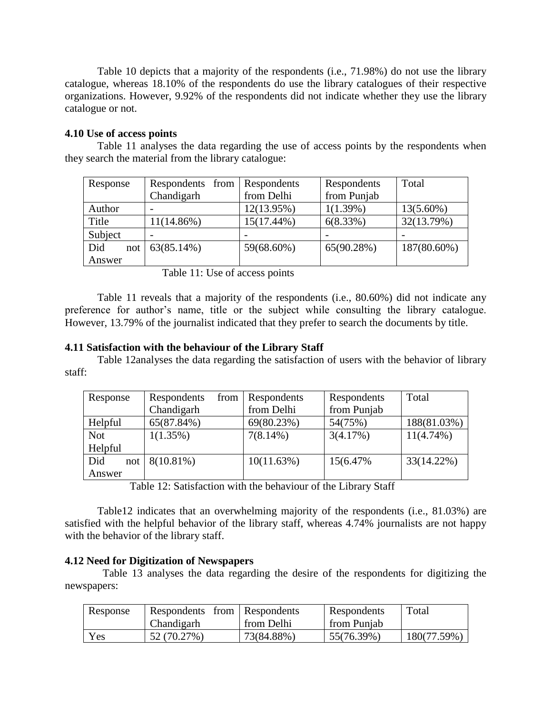Table 10 depicts that a majority of the respondents (i.e., 71.98%) do not use the library catalogue, whereas 18.10% of the respondents do use the library catalogues of their respective organizations. However, 9.92% of the respondents did not indicate whether they use the library catalogue or not.

#### **4.10 Use of access points**

Table 11 analyses the data regarding the use of access points by the respondents when they search the material from the library catalogue:

| Response   | Respondents from Respondents |               | Respondents | Total        |
|------------|------------------------------|---------------|-------------|--------------|
|            | Chandigarh                   | from Delhi    | from Punjab |              |
| Author     |                              | 12(13.95%)    | 1(1.39%)    | $13(5.60\%)$ |
| Title      | $11(14.86\%)$                | $15(17.44\%)$ | $6(8.33\%)$ | 32(13.79%)   |
| Subject    |                              |               |             |              |
| Did<br>not | 63(85.14%)                   | 59(68.60%)    | 65(90.28%)  | 187(80.60%)  |
| Answer     |                              |               |             |              |

Table 11: Use of access points

Table 11 reveals that a majority of the respondents (i.e., 80.60%) did not indicate any preference for author's name, title or the subject while consulting the library catalogue. However, 13.79% of the journalist indicated that they prefer to search the documents by title.

#### **4.11 Satisfaction with the behaviour of the Library Staff**

Table 12analyses the data regarding the satisfaction of users with the behavior of library staff:

|            | from         |               |             | Total        |
|------------|--------------|---------------|-------------|--------------|
| Response   | Respondents  | Respondents   | Respondents |              |
|            | Chandigarh   | from Delhi    | from Punjab |              |
| Helpful    | 65(87.84%)   | 69(80.23%)    | 54(75%)     | 188(81.03%)  |
| <b>Not</b> | $1(1.35\%)$  | $7(8.14\%)$   | 3(4.17%)    | $11(4.74\%)$ |
| Helpful    |              |               |             |              |
| Did<br>not | $8(10.81\%)$ | $10(11.63\%)$ | 15(6.47%)   | 33(14.22%)   |
| Answer     |              |               |             |              |

Table 12: Satisfaction with the behaviour of the Library Staff

Table12 indicates that an overwhelming majority of the respondents (i.e., 81.03%) are satisfied with the helpful behavior of the library staff, whereas 4.74% journalists are not happy with the behavior of the library staff.

#### **4.12 Need for Digitization of Newspapers**

 Table 13 analyses the data regarding the desire of the respondents for digitizing the newspapers:

| Response | Respondents from Respondents |            | Respondents | Total       |
|----------|------------------------------|------------|-------------|-------------|
|          | Chandigarh                   | from Delhi | from Punjab |             |
| Yes      | 52 (70.27%)                  | 73(84.88%) | 55(76.39%)  | 180(77.59%) |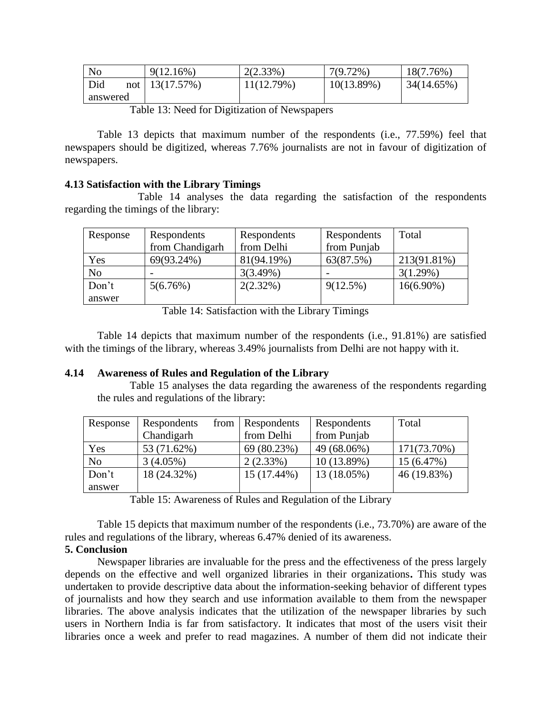| No       | $9(12.16\%)$       | 2(2.33%)   | $7(9.72\%)$ | 18(7.76%)  |
|----------|--------------------|------------|-------------|------------|
| Did      | not   $13(17.57%)$ | 11(12.79%) | 10(13.89%)  | 34(14.65%) |
| answered |                    |            |             |            |

Table 13: Need for Digitization of Newspapers

Table 13 depicts that maximum number of the respondents (i.e., 77.59%) feel that newspapers should be digitized, whereas 7.76% journalists are not in favour of digitization of newspapers.

# **4.13 Satisfaction with the Library Timings**

Table 14 analyses the data regarding the satisfaction of the respondents regarding the timings of the library:

| Response       | Respondents     | Respondents | Respondents | Total        |
|----------------|-----------------|-------------|-------------|--------------|
|                | from Chandigarh | from Delhi  | from Punjab |              |
| Yes            | 69(93.24%)      | 81(94.19%)  | 63(87.5%)   | 213(91.81%)  |
| N <sub>o</sub> |                 | 3(3.49%)    |             | 3(1.29%)     |
| Don't          | 5(6.76%)        | 2(2.32%)    | 9(12.5%)    | $16(6.90\%)$ |
| answer         |                 |             |             |              |

Table 14: Satisfaction with the Library Timings

Table 14 depicts that maximum number of the respondents (i.e., 91.81%) are satisfied with the timings of the library, whereas 3.49% journalists from Delhi are not happy with it.

# **4.14 Awareness of Rules and Regulation of the Library**

Table 15 analyses the data regarding the awareness of the respondents regarding the rules and regulations of the library:

| Response       | Respondents | from   Respondents | Respondents | Total       |
|----------------|-------------|--------------------|-------------|-------------|
|                | Chandigarh  | from Delhi         | from Punjab |             |
| Yes            | 53 (71.62%) | 69 (80.23%)        | 49 (68.06%) | 171(73.70%) |
| N <sub>o</sub> | 3(4.05%)    | 2(2.33%)           | 10 (13.89%) | 15(6.47%)   |
| Don't          | 18 (24.32%) | 15 (17.44%)        | 13 (18.05%) | 46 (19.83%) |
| answer         |             |                    |             |             |

Table 15: Awareness of Rules and Regulation of the Library

Table 15 depicts that maximum number of the respondents (i.e., 73.70%) are aware of the rules and regulations of the library, whereas 6.47% denied of its awareness.

# **5. Conclusion**

Newspaper libraries are invaluable for the press and the effectiveness of the press largely depends on the effective and well organized libraries in their organizations**.** This study was undertaken to provide descriptive data about the information-seeking behavior of different types of journalists and how they search and use information available to them from the newspaper libraries. The above analysis indicates that the utilization of the newspaper libraries by such users in Northern India is far from satisfactory. It indicates that most of the users visit their libraries once a week and prefer to read magazines. A number of them did not indicate their